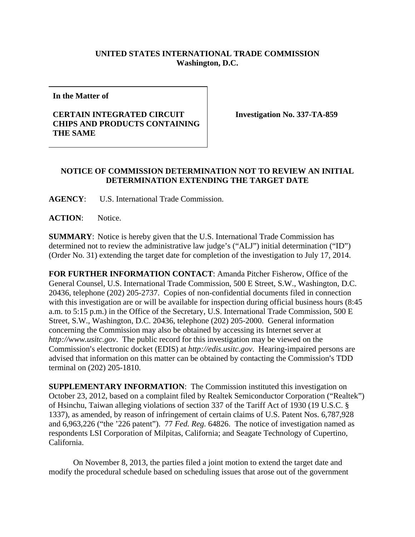## **UNITED STATES INTERNATIONAL TRADE COMMISSION Washington, D.C.**

**In the Matter of** 

## **CERTAIN INTEGRATED CIRCUIT CHIPS AND PRODUCTS CONTAINING THE SAME**

**Investigation No. 337-TA-859** 

## **NOTICE OF COMMISSION DETERMINATION NOT TO REVIEW AN INITIAL DETERMINATION EXTENDING THE TARGET DATE**

**AGENCY**: U.S. International Trade Commission.

**ACTION**: Notice.

**SUMMARY**: Notice is hereby given that the U.S. International Trade Commission has determined not to review the administrative law judge's ("ALJ") initial determination ("ID") (Order No. 31) extending the target date for completion of the investigation to July 17, 2014.

**FOR FURTHER INFORMATION CONTACT**: Amanda Pitcher Fisherow, Office of the General Counsel, U.S. International Trade Commission, 500 E Street, S.W., Washington, D.C. 20436, telephone (202) 205-2737. Copies of non-confidential documents filed in connection with this investigation are or will be available for inspection during official business hours (8:45 a.m. to 5:15 p.m.) in the Office of the Secretary, U.S. International Trade Commission, 500 E Street, S.W., Washington, D.C. 20436, telephone (202) 205-2000. General information concerning the Commission may also be obtained by accessing its Internet server at *http://www.usitc.gov*. The public record for this investigation may be viewed on the Commission's electronic docket (EDIS) at *http://edis.usitc.gov*. Hearing-impaired persons are advised that information on this matter can be obtained by contacting the Commission's TDD terminal on (202) 205-1810.

**SUPPLEMENTARY INFORMATION:** The Commission instituted this investigation on October 23, 2012, based on a complaint filed by Realtek Semiconductor Corporation ("Realtek") of Hsinchu, Taiwan alleging violations of section 337 of the Tariff Act of 1930 (19 U.S.C. § 1337), as amended, by reason of infringement of certain claims of U.S. Patent Nos. 6,787,928 and 6,963,226 ("the '226 patent"). 77 *Fed. Reg.* 64826. The notice of investigation named as respondents LSI Corporation of Milpitas, California; and Seagate Technology of Cupertino, California.

On November 8, 2013, the parties filed a joint motion to extend the target date and modify the procedural schedule based on scheduling issues that arose out of the government